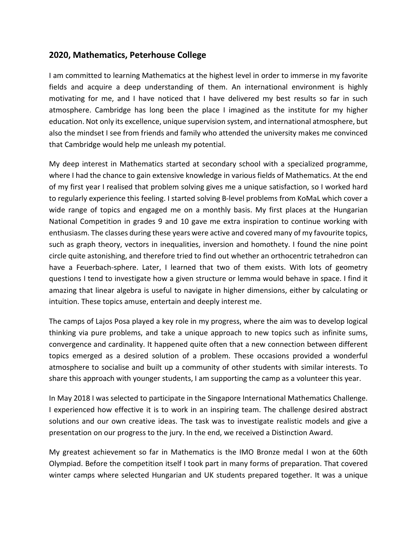## **2020, Mathematics, Peterhouse College**

I am committed to learning Mathematics at the highest level in order to immerse in my favorite fields and acquire a deep understanding of them. An international environment is highly motivating for me, and I have noticed that I have delivered my best results so far in such atmosphere. Cambridge has long been the place I imagined as the institute for my higher education. Not only its excellence, unique supervision system, and international atmosphere, but also the mindset I see from friends and family who attended the university makes me convinced that Cambridge would help me unleash my potential.

My deep interest in Mathematics started at secondary school with a specialized programme, where I had the chance to gain extensive knowledge in various fields of Mathematics. At the end of my first year I realised that problem solving gives me a unique satisfaction, so I worked hard to regularly experience this feeling. I started solving B-level problems from KoMaL which cover a wide range of topics and engaged me on a monthly basis. My first places at the Hungarian National Competition in grades 9 and 10 gave me extra inspiration to continue working with enthusiasm. The classes during these years were active and covered many of my favourite topics, such as graph theory, vectors in inequalities, inversion and homothety. I found the nine point circle quite astonishing, and therefore tried to find out whether an orthocentric tetrahedron can have a Feuerbach-sphere. Later, I learned that two of them exists. With lots of geometry questions I tend to investigate how a given structure or lemma would behave in space. I find it amazing that linear algebra is useful to navigate in higher dimensions, either by calculating or intuition. These topics amuse, entertain and deeply interest me.

The camps of Lajos Posa played a key role in my progress, where the aim was to develop logical thinking via pure problems, and take a unique approach to new topics such as infinite sums, convergence and cardinality. It happened quite often that a new connection between different topics emerged as a desired solution of a problem. These occasions provided a wonderful atmosphere to socialise and built up a community of other students with similar interests. To share this approach with younger students, I am supporting the camp as a volunteer this year.

In May 2018 I was selected to participate in the Singapore International Mathematics Challenge. I experienced how effective it is to work in an inspiring team. The challenge desired abstract solutions and our own creative ideas. The task was to investigate realistic models and give a presentation on our progress to the jury. In the end, we received a Distinction Award.

My greatest achievement so far in Mathematics is the IMO Bronze medal I won at the 60th Olympiad. Before the competition itself I took part in many forms of preparation. That covered winter camps where selected Hungarian and UK students prepared together. It was a unique